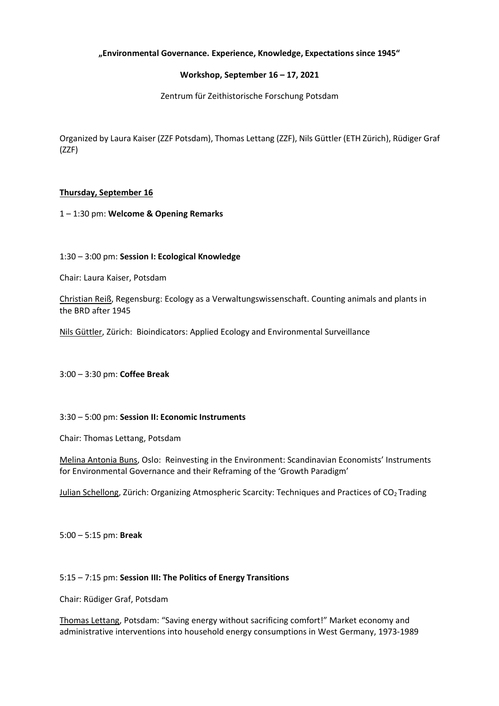# **"Environmental Governance. Experience, Knowledge, Expectations since 1945"**

### **Workshop, September 16 – 17, 2021**

Zentrum für Zeithistorische Forschung Potsdam

Organized by Laura Kaiser (ZZF Potsdam), Thomas Lettang (ZZF), Nils Güttler (ETH Zürich), Rüdiger Graf (ZZF)

### **Thursday, September 16**

1 – 1:30 pm: **Welcome & Opening Remarks**

1:30 – 3:00 pm: **Session I: Ecological Knowledge** 

Chair: Laura Kaiser, Potsdam

Christian Reiß, Regensburg: Ecology as a Verwaltungswissenschaft. Counting animals and plants in the BRD after 1945

Nils Güttler, Zürich: Bioindicators: Applied Ecology and Environmental Surveillance

3:00 – 3:30 pm: **Coffee Break**

#### 3:30 – 5:00 pm: **Session II: Economic Instruments**

Chair: Thomas Lettang, Potsdam

Melina Antonia Buns, Oslo: Reinvesting in the Environment: Scandinavian Economists' Instruments for Environmental Governance and their Reframing of the 'Growth Paradigm'

Julian Schellong, Zürich: Organizing Atmospheric Scarcity: Techniques and Practices of CO<sub>2</sub> Trading

5:00 – 5:15 pm: **Break**

#### 5:15 – 7:15 pm: **Session III: The Politics of Energy Transitions**

Chair: Rüdiger Graf, Potsdam

Thomas Lettang, Potsdam: "Saving energy without sacrificing comfort!" Market economy and administrative interventions into household energy consumptions in West Germany, 1973-1989